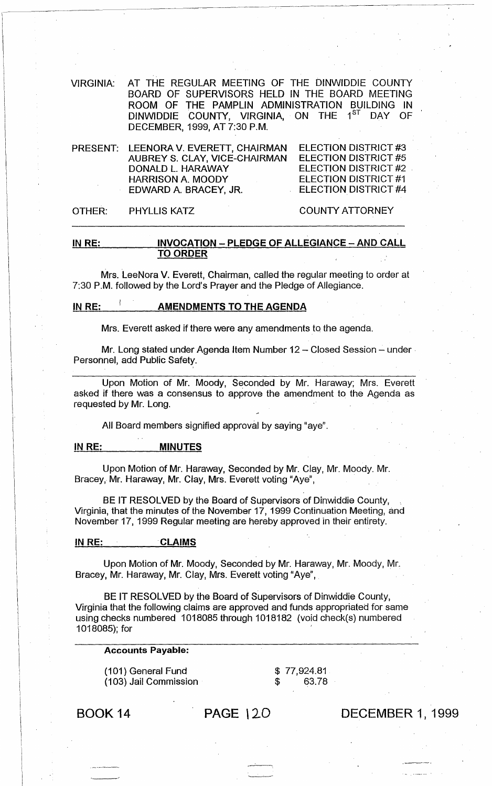VIRGINIA: AT THE REGULAR MEETING OF THE DINWIDDIE COUNTY BOARD OF SUPERVISORS HELD IN THE BOARD MEETING ROOM OF THE PAMPLIN ADMINISTRATION BUILDING IN DINWIDDIE COUNTY, VIRGINIA, ON THE 1<sup>ST</sup> DAY OF DECEMBER, 1999, AT 7:30 P.M.

PRESENT: LEENORA V. EVERETT, CHAIRMAN AUBREY S. CLAY, VICE-CHAIRMAN DONALD L. HARAWAY ELECTION DISTRICT #3 ELECTION DISTRICT #5 ELECTION DISTRICT #2 . ELECTION DISTRICT #1 ELECTION DISTRICT #4 HARRISON A. MOODY EDWARD A. BRACEY, JR.

### OTHER: PHYLLIS KATZ COUNTY ATTORNEY

### IN RE: INVOCATION - PLEDGE OF ALLEGIANCE - AND CALL TO ORDER

Mrs. LeeNora V. Everett, Chairman, called the regular meeting to order at 7:30 P.M. followed by the Lord's Prayer and the Pledge of Allegiance.

# IN RE: **AMENDMENTS TO THE AGENDA**

Mrs. Everett asked if there were any amendments to the agenda.

Mr. Long stated under Agenda Item Number 12 - Closed Session - under Personnel, add Public Safety.

Upon Motion of Mr. Moody, Seconded by Mr. Haraway; Mrs. Everett asked if there was a consensus to approve the amendment to the Agenda as requested by Mr. Long.

All Board members signified approval by saying "aye".

#### IN RE: MINUTES

Upon Motion of Mr. Haraway, Seconded by Mr. Clay, Mr. Moody. Mr. Bracey, Mr. Haraway, Mr. Clay, Mrs. Everett voting "Aye",

BE IT RESOLVED by the Board of Supervisors of Dinwiddie County, Virginia, that the minutes of the November 17, 1999 Continuation Meeting, and November 17,1999 Regular meeting are hereby approved in their entirety.

#### IN RE: CLAIMS

Upon Motion of Mr. Moody, Seconded by Mr. Haraway, Mr. Moody, Mr. Bracey, Mr. Haraway, Mr. Clay, Mrs. Everett voting "Aye",

BE IT RESOLVED by the Board of Supervisors of Dinwiddie County, Virginia that the following claims are approved and funds appropriated for same using checks numbered 1018085 through 1018182 (void check(s) numbered 1018085); for '

#### Accounts Payable:

(101) General Fund (103) Jail Commission \$ 77,924.81 \$ 63.78

BOOK 14 PAGE 120

DECEMBER 1, 1999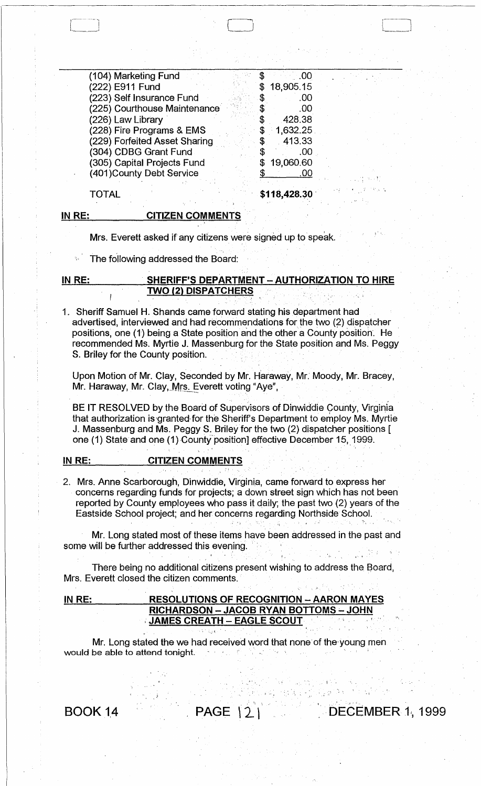| (104) Marketing Fund          |    | .OO          |
|-------------------------------|----|--------------|
| (222) E911 Fund               | \$ | 18,905.15    |
| (223) Self Insurance Fund     |    | .00          |
| (225) Courthouse Maintenance  |    | .00          |
| (226) Law Library             |    | 428.38       |
| (228) Fire Programs & EMS     | \$ | 1,632.25     |
| (229) Forfeited Asset Sharing | S  | 413.33       |
| (304) CDBG Grant Fund         |    | .00          |
| (305) Capital Projects Fund   |    | 19,060.60    |
| (401) County Debt Service     |    | .00          |
|                               |    |              |
| TOTAL                         |    | \$118,428.30 |

#### IN RE:

 $\begin{array}{|c|c|} \hline \quad \quad & \quad \quad \\ \hline \quad \quad & \quad \quad \\ \hline \quad \quad & \quad \quad \\ \hline \quad \quad & \quad \quad \\ \hline \quad \quad & \quad \quad \\ \hline \quad \quad & \quad \quad \\ \hline \quad \quad & \quad \quad \\ \hline \quad \quad & \quad \quad \\ \hline \quad \quad & \quad \quad \\ \hline \quad \quad & \quad \quad \\ \hline \quad \quad & \quad \quad \\ \hline \quad \quad & \quad \quad \\ \hline \quad \quad & \quad \quad \\ \hline \quad \quad & \quad \quad \\ \hline \quad \quad & \quad \quad \\ \hline \quad \quad & \quad \quad \\ \$ 

Mrs. Everett asked if any citizens were signed up to speak.

CITIZEN COMMENTS

The following addressed the Board:

## IN RE: SHERIFF'S DEPARTMENT - AUTHORIZATION TO HIRE **TWO (2) DISPATCHERS**

1. Sheriff Samuel H. Shands came forward stating his department had advertised, interviewed and had recommendations for the two (2) dispatcher positions, one (1) being a State position and the other a County position. He recommended Ms. Myrtie J. Massenburg for the State position and Ms. Peggy S. Briley for the County position.

Upon Motion of Mr. Clay, Seconded by Mr. Haraway, Mr. Moody, Mr. Bracey, Mr. Haraway, Mr. Clay, Mrs. Everett voting "Aye",

BE IT RESOLVED by the Board of Supervisors of Dinwiddie County, Virginia that authorization is granted for the Sheriff's Department to employ Ms. Myrtie J. Massenburg and Ms. Peggy S. Briley for the two (2) dispatcher positions [ one (1) State and one (1) County position] effective December 15, 1999.

#### IN RE: CITIZEN COMMENTS

2. Mrs. Anne Scarborough, Dinwiddie, Virginia, came forward to express her concerns regarding funds for projects; a down street sign which has not been reported by County employees who pass it daily; the past two (2) years of the Eastside School project; and her concerns regarding Northside School.

Mr. Long stated most of these items have been addressed in the past and some will be further addressed this evening. . ".

There being no additional citizens present wishing to address the Board, Mrs. Everett closed the citizen comments.

# IN RE: RESOLUTIONS OF RECOGNITION - AARON MAYES RICHARDSON - JACOB RYAN BOTTOMS - JOHN JAMES CREATH - EAGLE SCOUT

Mr. Long stated the we had received word that none'of the'young men Mr. Long stated the we had received word that none of the young n<br>would be able to attend tonight.

 $\mathfrak{g}_i$  ,  $\mathfrak{g}_i$  is a subsequently form  $\mathfrak{g}_i^*$ 

**PDECEMBER 1, 1999** 

BOOK 14 PAGE | 2 |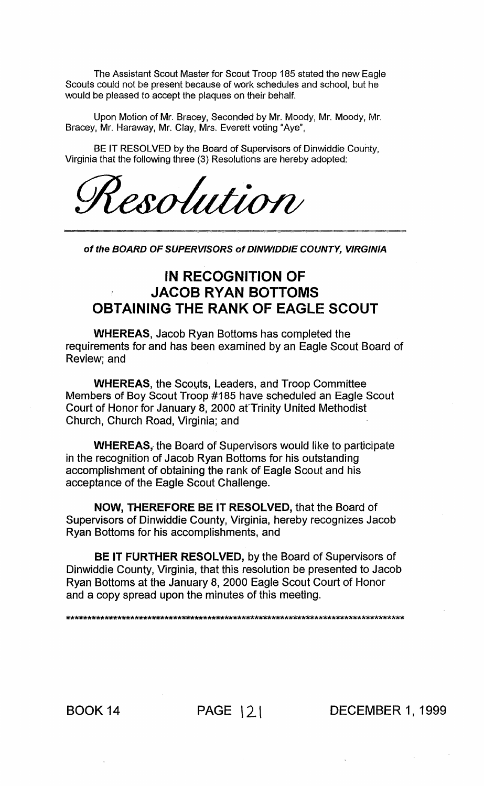The Assistant Scout Master for Scout Troop 185 stated the new Eagle Scouts could not be present because of work schedules and school, but he would be pleased to accept the plaques on their behalf.

Upon Motion of Mr. Bracey, Seconded by Mr. Moody, Mr. Moody, Mr. Bracey, Mr. Haraway, Mr. Clay, Mrs. Everett voting "Aye",

BE IT RESOLVED by the Board of Supervisors of Dinwiddie County. Virginia that the following three (3) Resolutions are hereby adopted:

esolution

of the BOARD OF SUPERVISORS of DINWIDDIE COUNTY, VIRGINIA

# IN RECOGNITION OF **JACOB RYAN BOTTOMS OBTAINING THE RANK OF EAGLE SCOUT**

**WHEREAS, Jacob Ryan Bottoms has completed the** requirements for and has been examined by an Eagle Scout Board of Review; and

**WHEREAS, the Scouts, Leaders, and Troop Committee** Members of Boy Scout Troop #185 have scheduled an Eagle Scout Court of Honor for January 8, 2000 at Trinity United Methodist Church, Church Road, Virginia; and

**WHEREAS, the Board of Supervisors would like to participate** in the recognition of Jacob Ryan Bottoms for his outstanding accomplishment of obtaining the rank of Eagle Scout and his acceptance of the Eagle Scout Challenge.

NOW, THEREFORE BE IT RESOLVED, that the Board of Supervisors of Dinwiddie County, Virginia, hereby recognizes Jacob Ryan Bottoms for his accomplishments, and

BE IT FURTHER RESOLVED, by the Board of Supervisors of Dinwiddie County, Virginia, that this resolution be presented to Jacob Ryan Bottoms at the January 8, 2000 Eagle Scout Court of Honor and a copy spread upon the minutes of this meeting.

**BOOK 14** 

PAGE | 2 | DECEMBER 1, 1999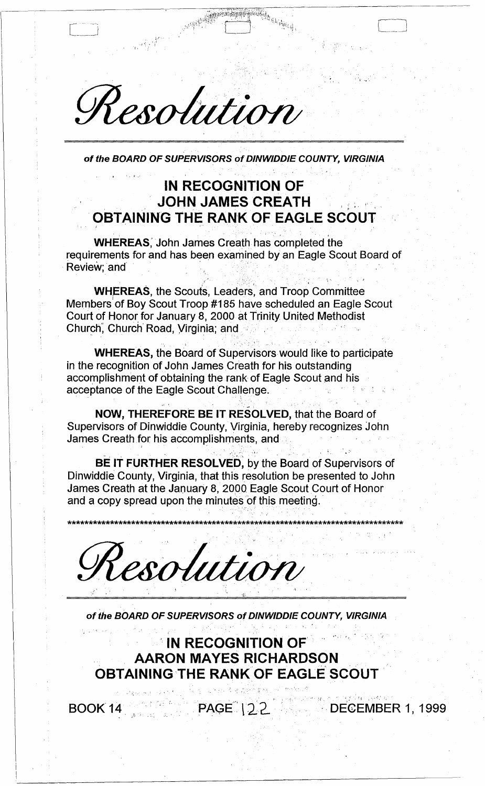Resolution

of the BOARD OF SUPERVISORS of DINWIDDIE COUNTY, VIRGINIA

# **IN RECOGNITION OF JOHN JAMES CREATH OBTAINING THE RANK OF EAGLE SCOUT**

**WHEREAS**, John James Creath has completed the requirements for and has been examined by an Eagle Scout Board of Review; and

**WHEREAS, the Scouts, Leaders, and Troop Committee** Members of Boy Scout Troop #185 have scheduled an Eagle Scout Court of Honor for January 8, 2000 at Trinity United Methodist Church, Church Road, Virginia; and

**WHEREAS, the Board of Supervisors would like to participate** in the recognition of John James Creath for his outstanding accomplishment of obtaining the rank of Eagle Scout and his acceptance of the Eagle Scout Challenge.

NOW, THEREFORE BE IT RESOLVED, that the Board of Supervisors of Dinwiddie County, Virginia, hereby recognizes John James Creath for his accomplishments, and

BE IT FURTHER RESOLVED, by the Board of Supervisors of Dinwiddie County, Virginia, that this resolution be presented to John James Creath at the January 8, 2000 Eagle Scout Court of Honor and a copy spread upon the minutes of this meeting.

Resolution

of the BOARD OF SUPERVISORS of DINWIDDIE COUNTY, VIRGINIA

**IN RECOGNITION OF AARON MAYES RICHARDSON OBTAINING THE RANK OF EAGLE SCOUT** 

BOOK 14

PAGE 122 DECEMBER 1, 1999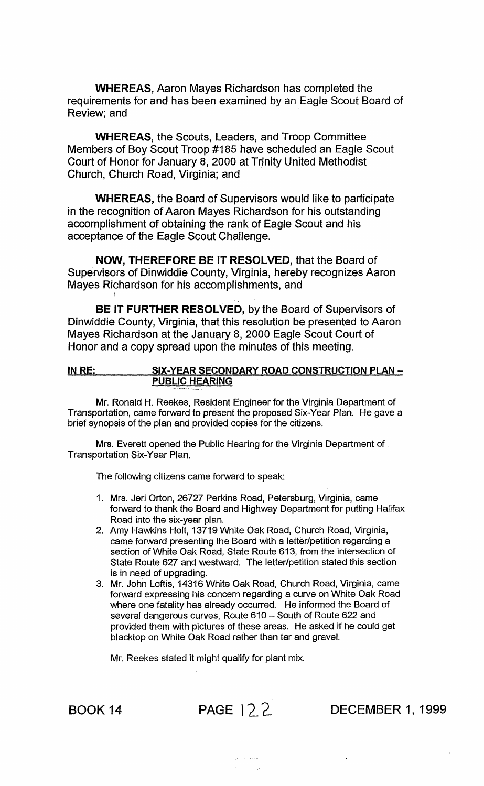WHEREAS, Aaron Mayes Richardson has completed the requirements for and has been examined by an Eagle Scout Board of Review; and

WHEREAS, the Scouts, Leaders, and Troop Committee Members of Boy Scout Troop #185 have scheduled an Eagle Scout Court of Honor for January 8, 2000 at Trinity United Methodist Church, Church Road, Virginia; and

WHEREAS, the Board of Supervisors would like to participate in the recognition of Aaron Mayes Richardson for his outstanding accomplishment of obtaining the rank of Eagle Scout and his acceptance of the Eagle Scout Challenge.

NOW, THEREFORE BE IT RESOLVED, that the Board of Supervisors of Dinwiddie County, Virginia, hereby recognizes Aaron Mayes Richardson for his accomplishments, and

BE IT FURTHER RESOLVED, by the Board of Supervisors of Dinwiddie County, Virginia, that this resolution be presented to Aaron Mayes Richardson at the January 8, 2000 Eagle Scout Court of Honor and a copy spread upon the minutes of this meeting.

## IN RE: SIX-YEAR SECONDARY ROAD CONSTRUCTION PLAN -PUBLIC HEARING

Mr. Ronald H. Reekes, Resident Engineer for the Virginia Department of Transportation, came forward to present the proposed Six-Year Plan. He gave a brief synopsis of the plan and provided copies for the citizens.

Mrs. Everett opened the Public Hearing for the Virginia Department of Transportation Six-Year Plan.

The following citizens came forward to speak:

- 1. Mrs. Jeri Orton, 26727 Perkins Road, Petersburg, Virginia, came forward to thank the Board and Highway Department for putting Halifax Road into the six-year plan.
- 2. Amy Hawkins Holt, 13719 White Oak Road, Church Road, Virginia, came forward presenting the Board with a letter/petition regarding a section of White Oak Road, State Route 613, from the intersection of State Route 627 and westward. The letter/petition stated this section is in need of upgrading.
- 3. Mr. John Loftis, 14316 White Oak Road, Church Road, Virginia, came forward expressing his concern regarding a curve on White Oak Road where one fatality has already occurred. He informed the Board of several dangerous curves, Route 610 - South of Route 622 and provided them with pictures of these areas. He asked if he could get blacktop on White Oak Road rather than tar and gravel.

Mr. Reekes stated it might qualify for plant mix.

I

BOOK 14 PAGE 122. DECEMBER 1, 1999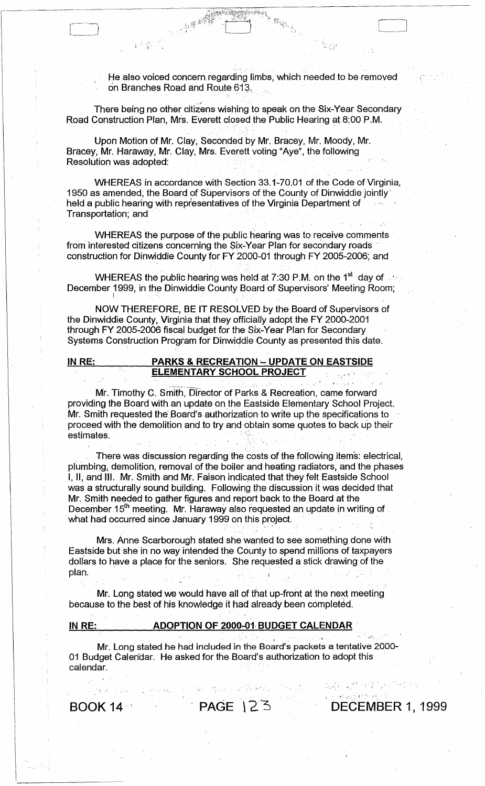He also voiced concern regarding limbs, which needed to be removed on Branches Road and Route 613.

**, ;** 

. .~ ... , .

There being no other citizens wishing to speak on the Six-Year Secondary Road Construction Plan, Mrs. Everett closed the Public Hearing at 8:00 P.M.

, . . .

Upon Motion of Mr. Clay, Seconded by Mr. Bracey, Mr. Moody, Mr. Bracey, Mr. Haraway, Mr. Clay, Mrs. Everett voting "Aye", the following Resolution was adopted:

I'e

WHEREAS in accordance with Section 33.1-70.01 of the Code of Virginia, 1950 as amended, the Board of Supervisors of the County of Dinwiddie jointly' held a public hearing with representatives of the Virginia Department of Transportation; and

WHEREAS the purpose of the public hearing was to receive comments from interested citizens concerning the Six-Year Plan for secondary roads construction for Dinwiddie County for FY 2000-01 through FY 2005-2006: and WHEREAS the purpose of the public hearing was to receive comments<br>from interested citizens concerning the Six-Year Plan for secondary roads<br>construction for Dinwiddie County for FY 2000-01 through FY 2005-2006; and<br>WHEREA

WHEREAS the public hearing was held at 7:30 P.M. on the 1<sup>st</sup> day of  $\sim$  ,  $\sim$ 

NOW THEREFORE, BE IT RESOLVED by the Board of Supervisors of the Dinwiddie County, Virginia that they officially adopt the FY 2000-2001 through FY 2005-2006 fiscal budget for the Six-Year Plan for Secondary Systems Construction Program for Dinwiddie County as presented this date.

### IN RE: PARKS & RECREATION - UPDATE ON EASTSIDE **ELEMENTARY SCHOOL PROJECT.**

Mr. Timothy C. Smith, Director of Parks & Recreation, came forward providing the Board with an update on the Eastside Elementary School Project. Mr. Smith requested the Board's authorization to write up the specifications to proceed with the demolition and to try and obtain some quotes to back up their estimates.

There was discussion regarding the costs of the following items: electrical, plumbing, demolition, removal of the boiler and heating radiators, and the phases I, II, and III. Mr. Smith and Mr. Faison indicated that they felt Eastside School was a structurally sound building. Following the discussion it was decided that Mr. Smith needed to gather figures and report back to the Board at the December 15<sup>th</sup> meeting. Mr. Haraway also requested an update in writing of what had occurred since January 1999 on this project.

Mrs. Anne Scarborough stated she wanted to see something done with Eastside but she in no way intended the County to spend millions of taxpayers dollars to have a place for the seniors. She requested a stick drawing of the<br>plan.

. The contribution of the contribution of the contribution of the contribution of the contribution of the contribution of the contribution of the contribution of the contribution of the contribution of the contribution of

Mr. Long stated we would have all of that up-front at the next meeting because to the best of his knowledge it had already been completed.

# IN RE: ADOPTION OF 2000-01 BUDGET CALENDAR

Mr. Long stated he had included in the Board's packets a tentative 2000- 01 Budget Calen'dar. He asked for the Board's authorization to adopt this calendar.

 $\bullet$  . The set of  $\{x_1, x_2, \ldots, x_n\}$  , we have the set of  $\{x_1, x_2, \ldots, x_n\}$ 

BOOK 14 PAGE 123 DECEMBER 1, 1999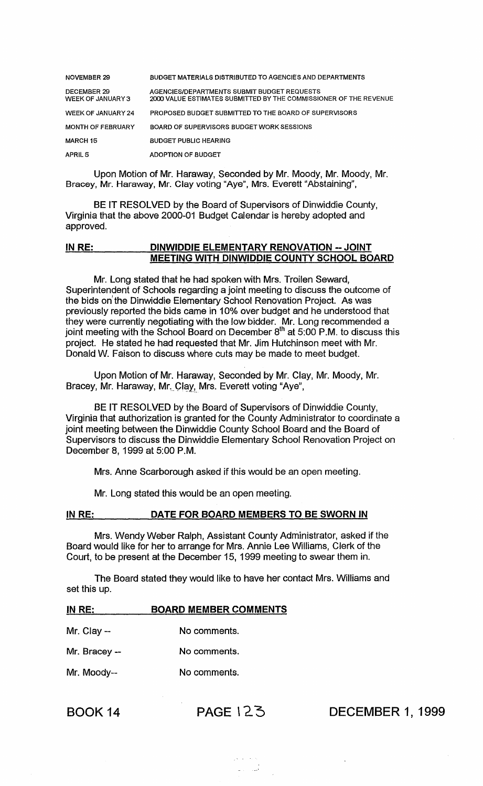| NOVEMBER 29                             | <b>BUDGET MATERIALS DISTRIBUTED TO AGENCIES AND DEPARTMENTS</b>                                                  |
|-----------------------------------------|------------------------------------------------------------------------------------------------------------------|
| <b>DECEMBER 29</b><br>WEEK OF JANUARY 3 | AGENCIES/DEPARTMENTS SUBMIT BUDGET REQUESTS<br>2000 VALUE ESTIMATES SUBMITTED BY THE COMMISSIONER OF THE REVENUE |
| WEEK OF JANUARY 24                      | PROPOSED BUDGET SUBMITTED TO THE BOARD OF SUPERVISORS                                                            |
| <b>MONTH OF FEBRUARY</b>                | BOARD OF SUPERVISORS BUDGET WORK SESSIONS                                                                        |
| <b>MARCH 15</b>                         | <b>BUDGET PUBLIC HEARING</b>                                                                                     |
| APRIL 5                                 | ADOPTION OF BUDGET                                                                                               |

Upon Motion of Mr. Haraway, Seconded by Mr. Moody, Mr. Moody, Mr. Bracey, Mr. Haraway, Mr. Clay voting "Aye", Mrs. Everett "Abstaining",

BE IT RESOLVED by the Board of Supervisors of Dinwiddie County, Virginia that the above 2000-01 Budget Calendar is hereby adopted and approved.

## IN RE: DINWIDDIE ELEMENTARY RENOVATION --JOINT MEETING WITH DINWIDDIE COUNTY SCHOOL BOARD

Mr. long stated that he had spoken with Mrs. Troilen Seward, Superintendent of Schools regarding a joint meeting to discuss the outcome of the bids on the Dinwiddie Elementary School Renovation Project. As was previously reported the bids came in 10% over budget and he understood that they were currently negotiating with the low bidder. Mr. long recommended a joint meeting with the School Board on December  $8^{th}$  at 5:00 P.M. to discuss this project. He stated he had requested that Mr. Jim Hutchinson meet with Mr. Donald W. Faison to discuss where cuts may be made to meet budget.

Upon Motion of Mr. Haraway, Seconded by Mr. Clay, Mr. Moody, Mr. Bracey, Mr. Haraway, Mr. Clay, Mrs. Everett voting "Aye",

BE IT RESOLVED by the Board of Supervisors of Dinwiddie County, Virginia that authorization is granted for the County Administrator to coordinate a joint meeting between the Dinwiddie County School Board and the Board of Supervisors to discuss the Dinwiddie Elementary School Renovation Project on December 8, 1999 at 5:00 P.M.

Mrs. Anne Scarborough asked if this would be an open meeting.

Mr. Long stated this would be an open meeting.

#### IN RE: DATE FOR BOARD MEMBERS TO BE SWORN IN

Mrs. Wendy Weber Ralph, Assistant County Administrator, asked if the Board would like for her to arrange for Mrs. Annie lee Williams, Clerk of the Court, to be present at the December 15, 1999 meeting to swear them in.

The Board stated they would like to have her contact Mrs. Williams and set this up.

| IN RE:        | <b>BOARD MEMBER COMMENTS</b> |
|---------------|------------------------------|
| Mr. Clay $-$  | No comments.                 |
| Mr. Bracey -- | No comments.                 |
| Mr. Moody--   | No comments.                 |
|               |                              |

BOOK 14 PAGE 12.3 DECEMBER 1, 1999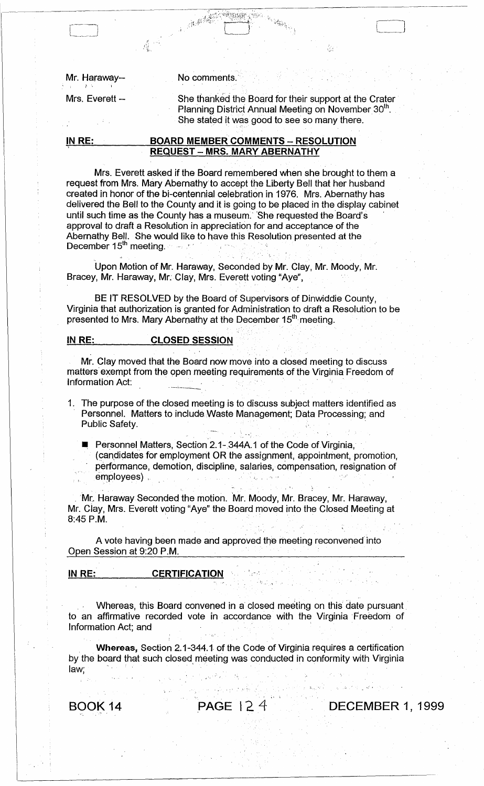Mr. Haraway-- No comments.

,~ "

Mrs. Everett -- She thanked the Board for their support at the Crater Planning District Annual Meeting on November 30<sup>th</sup>. She stated it was good to see so many there.

LJ

## IN RE: BOARD MEMBER COMMENTS - RESOLUTION REQUEST - MRS. MARY ABERNATHY

;~ ,

Mrs. Everett asked if the Board remembered when she brought to them a request from Mrs. Mary Abernathy to accept the Liberty Bell that her husband created in honor of the bi-centennial celebration in 1976. Mrs. Abernathy has delivered the Bell to the County and it is going to be placed in the display cabinet until such time as the County has a museum. She requested the Board's approval to draft a Resolution in appreciation for and acceptance of the Abernathy Bell. She would like to have this Resolution presented at the December 15<sup>th</sup> meeting.

Upon Motion of Mr. Haraway, Seconded by Mr. Clay, Mr. Moody, Mr. Bracey, Mr. Haraway, Mr: Clay, Mrs. Everett voting "Aye",

BE IT RESOLVED by the Board of Supervisors of Dinwiddie County, Virginia that authorization is granted for Administration to draft a Resolution to be presented to Mrs. Mary Abernathy at the December 15<sup>th</sup> meeting.

# IN RE: CLOSED SESSION

Mr. Clay moved that the Board now move into a closed meeting to discuss matters' exempt from the open meeting requirements of the Virginia Freedom of Information Act:

1. The purpose of the closed meeting is to discuss subject matters identified as Personnel. Matters to include Waste Management; Data Processing; and Public Safety.

Personnel Matters, Section 2.1-344A.1 of the Code of Virginia, (candidates for employment OR the assignment, appointment, promotion, performance, demotion, discipline, salaries, compensation, resignation of sonnel. Matters to Include Waste Management; Data Processing; a<br>plic Safety.<br>Personnel Matters, Section 2.1- 344A.1 of the Code of Virginia,<br>(candidates for employment OR the assignment, appointment, prom<br>performance, demo

Mr. Haraway Seconded the motion. Mr. Moody, Mr. Bracey, Mr. Haraway, Mr. Ciay, Mrs. Everett voting "Aye" the Board moved into the Closed Meeting at  $8:45$  P.M.

A vote having been made and approved the meeting reconvened into Open Session at 9:20 P.M.

#### IN RE: CERTIFICATION

Whereas, this Board convened in a closed meeting on this date pursuant, to an affirmative recorded vote in accordance with the Virginia Freedom of Information Act; and '

Whereas, Section 2.1-344.1 of the Code of Virginia requires a certification by the board that such closed meeting was conducted in conformity with Virginia law;

, . ~ ;

1 •• • • •

BOOK 14 **PAGE 12.4** DECEMBER 1, 1999